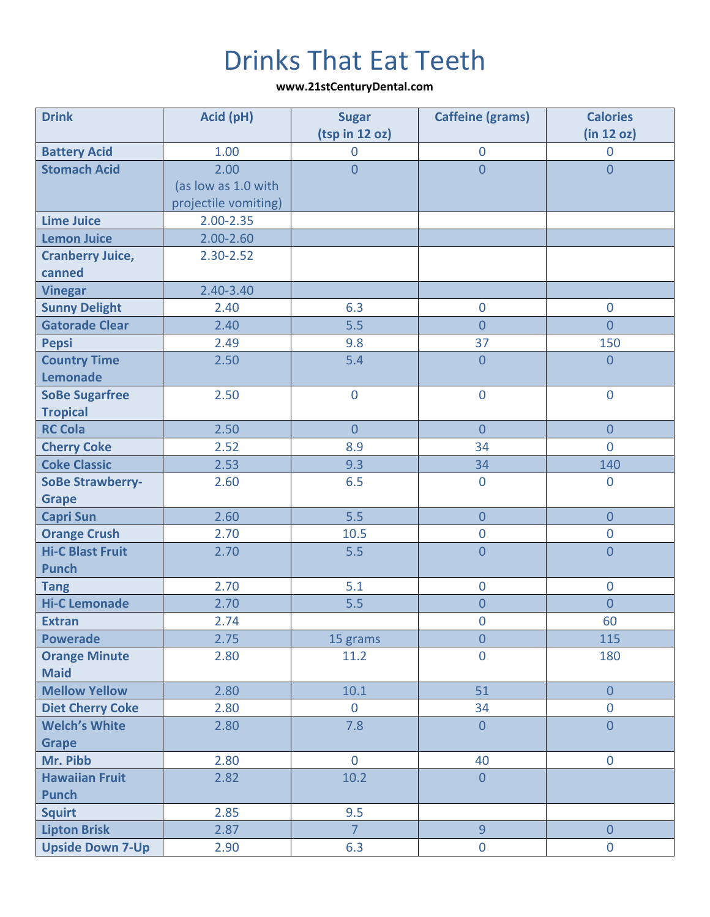## Drinks That Eat Teeth

**www.21stCenturyDental.com**

| <b>Drink</b>                        | Acid (pH)            | <b>Sugar</b><br>(tsp in 12 oz) | <b>Caffeine (grams)</b> | <b>Calories</b><br>(in 12 oz) |
|-------------------------------------|----------------------|--------------------------------|-------------------------|-------------------------------|
| <b>Battery Acid</b>                 | 1.00                 | $\mathbf 0$                    | $\boldsymbol{0}$        | $\overline{0}$                |
| <b>Stomach Acid</b>                 | 2.00                 | $\overline{0}$                 | $\overline{0}$          | $\overline{0}$                |
|                                     | (as low as 1.0 with  |                                |                         |                               |
|                                     | projectile vomiting) |                                |                         |                               |
| <b>Lime Juice</b>                   | $2.00 - 2.35$        |                                |                         |                               |
| <b>Lemon Juice</b>                  | $2.00 - 2.60$        |                                |                         |                               |
| <b>Cranberry Juice,</b>             | 2.30-2.52            |                                |                         |                               |
| canned                              |                      |                                |                         |                               |
| <b>Vinegar</b>                      | 2.40-3.40            |                                |                         |                               |
| <b>Sunny Delight</b>                | 2.40                 | 6.3                            | $\boldsymbol{0}$        | $\overline{0}$                |
| <b>Gatorade Clear</b>               | 2.40                 | 5.5                            | $\overline{0}$          | $\overline{0}$                |
| <b>Pepsi</b>                        | 2.49                 | 9.8                            | 37                      | 150                           |
| <b>Country Time</b>                 | 2.50                 | 5.4                            | $\overline{0}$          | $\overline{0}$                |
| <b>Lemonade</b>                     |                      |                                |                         |                               |
| <b>SoBe Sugarfree</b>               | 2.50                 | $\mathbf 0$                    | $\boldsymbol{0}$        | $\boldsymbol{0}$              |
| <b>Tropical</b>                     |                      |                                |                         |                               |
| <b>RC Cola</b>                      | 2.50                 | $\overline{0}$                 | $\overline{0}$          | $\overline{0}$                |
| <b>Cherry Coke</b>                  | 2.52                 | 8.9                            | 34                      | $\overline{0}$                |
| <b>Coke Classic</b>                 | 2.53                 | 9.3                            | 34                      | 140                           |
| <b>SoBe Strawberry-</b>             | 2.60                 | 6.5                            | $\overline{0}$          | $\overline{0}$                |
| <b>Grape</b>                        |                      |                                |                         |                               |
| <b>Capri Sun</b>                    | 2.60                 | 5.5                            | $\overline{0}$          | $\overline{0}$                |
| <b>Orange Crush</b>                 | 2.70                 | 10.5                           | $\pmb{0}$               | $\boldsymbol{0}$              |
| <b>Hi-C Blast Fruit</b>             | 2.70                 | 5.5                            | $\overline{0}$          | $\overline{0}$                |
| <b>Punch</b>                        |                      |                                |                         |                               |
| <b>Tang</b>                         | 2.70                 | 5.1                            | $\mathbf 0$             | $\boldsymbol{0}$              |
| <b>Hi-C Lemonade</b>                | 2.70                 | 5.5                            | $\overline{0}$          | $\overline{0}$                |
| <b>Extran</b>                       | 2.74                 |                                | $\overline{0}$          | 60                            |
| <b>Powerade</b>                     | 2.75                 | 15 grams                       | $\overline{0}$          | 115                           |
| <b>Orange Minute</b><br><b>Maid</b> | 2.80                 | 11.2                           | $\mathbf 0$             | 180                           |
| <b>Mellow Yellow</b>                | 2.80                 | 10.1                           | 51                      | $\overline{0}$                |
| <b>Diet Cherry Coke</b>             | 2.80                 | $\overline{0}$                 | 34                      | $\overline{0}$                |
| <b>Welch's White</b>                | 2.80                 | 7.8                            | $\overline{0}$          | $\overline{0}$                |
| <b>Grape</b>                        |                      |                                |                         |                               |
| Mr. Pibb                            | 2.80                 | $\overline{0}$                 | 40                      | $\overline{0}$                |
| <b>Hawaiian Fruit</b>               | 2.82                 | 10.2                           | $\overline{0}$          |                               |
| <b>Punch</b>                        |                      |                                |                         |                               |
| <b>Squirt</b>                       | 2.85                 | 9.5                            |                         |                               |
| <b>Lipton Brisk</b>                 | 2.87                 | $\overline{7}$                 | $\overline{9}$          | $\overline{0}$                |
| <b>Upside Down 7-Up</b>             | 2.90                 | 6.3                            | $\mathbf 0$             | $\mathbf 0$                   |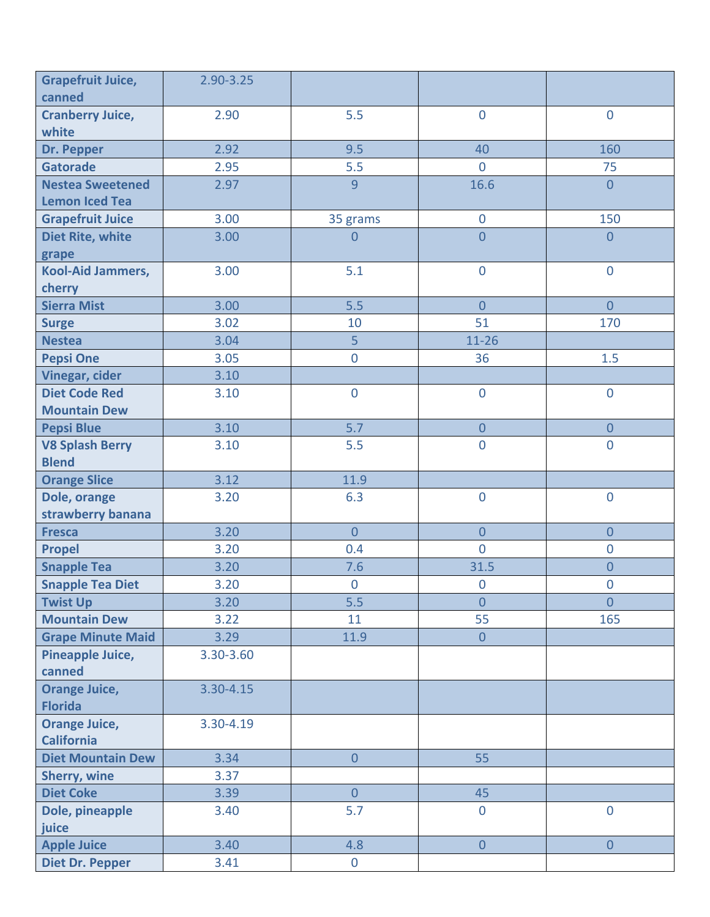| <b>Grapefruit Juice,</b><br>canned | 2.90-3.25 |                  |                  |                  |
|------------------------------------|-----------|------------------|------------------|------------------|
| <b>Cranberry Juice,</b>            | 2.90      | 5.5              | $\overline{0}$   | $\overline{0}$   |
| white                              |           |                  |                  |                  |
| Dr. Pepper                         | 2.92      | 9.5              | 40               | 160              |
| <b>Gatorade</b>                    | 2.95      | 5.5              | $\overline{0}$   | 75               |
| <b>Nestea Sweetened</b>            | 2.97      | 9                | 16.6             | $\overline{0}$   |
| <b>Lemon Iced Tea</b>              |           |                  |                  |                  |
| <b>Grapefruit Juice</b>            | 3.00      | 35 grams         | $\pmb{0}$        | 150              |
| <b>Diet Rite, white</b>            | 3.00      | $\overline{0}$   | $\overline{0}$   | $\overline{0}$   |
| grape                              |           |                  |                  |                  |
| <b>Kool-Aid Jammers,</b>           | 3.00      | 5.1              | $\overline{0}$   | $\overline{0}$   |
| cherry                             |           |                  |                  |                  |
| <b>Sierra Mist</b>                 | 3.00      | 5.5              | $\overline{0}$   | $\overline{0}$   |
| <b>Surge</b>                       | 3.02      | 10               | 51               | 170              |
| <b>Nestea</b>                      | 3.04      | 5                | $11 - 26$        |                  |
| <b>Pepsi One</b>                   | 3.05      | $\overline{0}$   | 36               | 1.5              |
| <b>Vinegar, cider</b>              | 3.10      |                  |                  |                  |
| <b>Diet Code Red</b>               | 3.10      | $\mathbf 0$      | $\overline{0}$   | $\overline{0}$   |
| <b>Mountain Dew</b>                |           |                  |                  |                  |
| <b>Pepsi Blue</b>                  | 3.10      | 5.7              | $\overline{0}$   | $\overline{0}$   |
| <b>V8 Splash Berry</b>             | 3.10      | 5.5              | $\overline{0}$   | $\overline{0}$   |
| <b>Blend</b>                       |           |                  |                  |                  |
| <b>Orange Slice</b>                | 3.12      | 11.9             |                  |                  |
| Dole, orange                       | 3.20      | 6.3              | $\pmb{0}$        | $\boldsymbol{0}$ |
| strawberry banana                  |           |                  |                  |                  |
| <b>Fresca</b>                      | 3.20      | $\overline{0}$   | $\overline{0}$   | $\overline{0}$   |
| <b>Propel</b>                      | 3.20      | 0.4              | $\overline{0}$   | $\overline{0}$   |
| <b>Snapple Tea</b>                 | 3.20      | 7.6              | 31.5             | $\overline{0}$   |
| <b>Snapple Tea Diet</b>            | 3.20      | $\boldsymbol{0}$ | $\boldsymbol{0}$ | $\pmb{0}$        |
| <b>Twist Up</b>                    | 3.20      | 5.5              | $\overline{0}$   | $\overline{0}$   |
| <b>Mountain Dew</b>                | 3.22      | 11               | 55               | 165              |
| <b>Grape Minute Maid</b>           | 3.29      | 11.9             | $\overline{0}$   |                  |
| Pineapple Juice,                   | 3.30-3.60 |                  |                  |                  |
| canned                             |           |                  |                  |                  |
| <b>Orange Juice,</b>               | 3.30-4.15 |                  |                  |                  |
| <b>Florida</b>                     |           |                  |                  |                  |
| <b>Orange Juice,</b>               | 3.30-4.19 |                  |                  |                  |
| <b>California</b>                  |           |                  |                  |                  |
| <b>Diet Mountain Dew</b>           | 3.34      | $\overline{0}$   | 55               |                  |
| Sherry, wine                       | 3.37      |                  |                  |                  |
| <b>Diet Coke</b>                   | 3.39      | $\overline{0}$   | 45               |                  |
| Dole, pineapple                    | 3.40      | 5.7              | $\overline{0}$   | $\mathbf 0$      |
| juice                              |           |                  |                  |                  |
| <b>Apple Juice</b>                 | 3.40      | 4.8              | $\overline{0}$   | $\overline{0}$   |
| <b>Diet Dr. Pepper</b>             | 3.41      | $\overline{0}$   |                  |                  |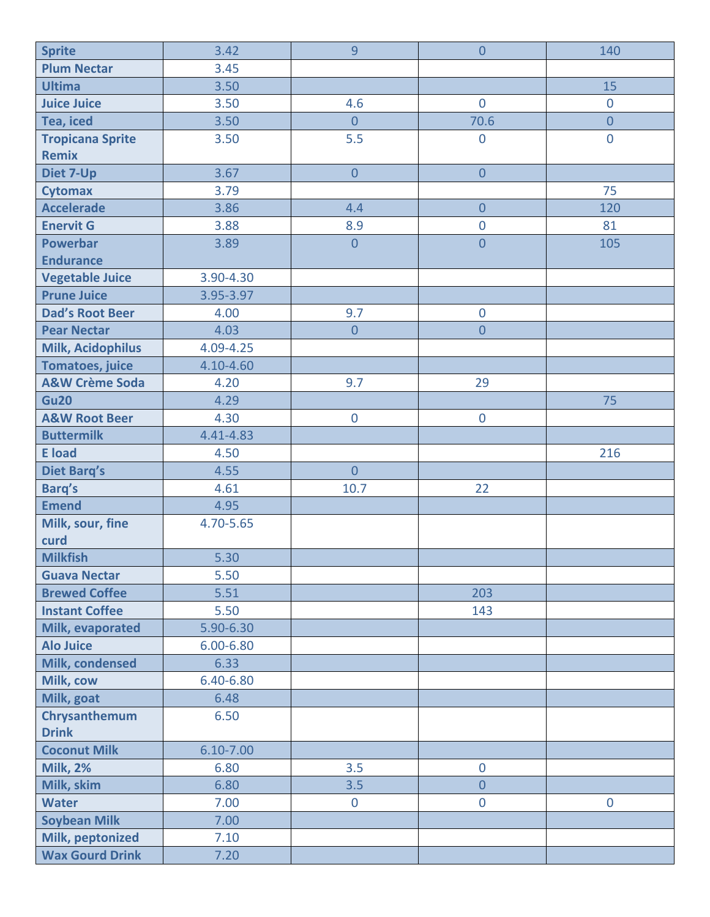| <b>Sprite</b>             | 3.42          | 9              | $\overline{0}$   | 140            |
|---------------------------|---------------|----------------|------------------|----------------|
| <b>Plum Nectar</b>        | 3.45          |                |                  |                |
| <b>Ultima</b>             | 3.50          |                |                  | 15             |
| <b>Juice Juice</b>        | 3.50          | 4.6            | $\overline{0}$   | $\mathbf 0$    |
| Tea, iced                 | 3.50          | $\overline{0}$ | 70.6             | $\overline{0}$ |
| <b>Tropicana Sprite</b>   | 3.50          | 5.5            | $\mathbf 0$      | $\bf 0$        |
| <b>Remix</b>              |               |                |                  |                |
| Diet 7-Up                 | 3.67          | $\overline{0}$ | $\overline{0}$   |                |
| <b>Cytomax</b>            | 3.79          |                |                  | 75             |
| <b>Accelerade</b>         | 3.86          | 4.4            | $\boldsymbol{0}$ | 120            |
| <b>Enervit G</b>          | 3.88          | 8.9            | $\overline{0}$   | 81             |
| <b>Powerbar</b>           | 3.89          | $\overline{0}$ | $\overline{0}$   | 105            |
| <b>Endurance</b>          |               |                |                  |                |
| <b>Vegetable Juice</b>    | 3.90-4.30     |                |                  |                |
| <b>Prune Juice</b>        | 3.95-3.97     |                |                  |                |
| <b>Dad's Root Beer</b>    | 4.00          | 9.7            | $\mathbf 0$      |                |
| <b>Pear Nectar</b>        | 4.03          | $\overline{0}$ | $\overline{0}$   |                |
| <b>Milk, Acidophilus</b>  | 4.09-4.25     |                |                  |                |
| <b>Tomatoes, juice</b>    | 4.10-4.60     |                |                  |                |
| <b>A&amp;W Crème Soda</b> | 4.20          | 9.7            | 29               |                |
| <b>Gu20</b>               | 4.29          |                |                  | 75             |
| <b>A&amp;W Root Beer</b>  | 4.30          | $\mathbf 0$    | $\mathbf 0$      |                |
| <b>Buttermilk</b>         | 4.41-4.83     |                |                  |                |
| <b>E</b> load             | 4.50          |                |                  | 216            |
| <b>Diet Barg's</b>        | 4.55          | $\overline{0}$ |                  |                |
| <b>Barq's</b>             | 4.61          | 10.7           | 22               |                |
| <b>Emend</b>              | 4.95          |                |                  |                |
| Milk, sour, fine          | 4.70-5.65     |                |                  |                |
| curd                      |               |                |                  |                |
| <b>Milkfish</b>           | 5.30          |                |                  |                |
| <b>Guava Nectar</b>       | 5.50          |                |                  |                |
| <b>Brewed Coffee</b>      | 5.51          |                | 203              |                |
| <b>Instant Coffee</b>     | 5.50          |                | 143              |                |
| Milk, evaporated          | 5.90-6.30     |                |                  |                |
| <b>Alo Juice</b>          | $6.00 - 6.80$ |                |                  |                |
| Milk, condensed           | 6.33          |                |                  |                |
| Milk, cow                 | 6.40-6.80     |                |                  |                |
| Milk, goat                | 6.48          |                |                  |                |
| Chrysanthemum             | 6.50          |                |                  |                |
| <b>Drink</b>              |               |                |                  |                |
| <b>Coconut Milk</b>       | $6.10 - 7.00$ |                |                  |                |
| <b>Milk, 2%</b>           | 6.80          | 3.5            | $\mathbf 0$      |                |
| Milk, skim                | 6.80          | 3.5            | $\overline{0}$   |                |
| <b>Water</b>              | 7.00          | $\overline{0}$ | $\mathbf 0$      | $\mathbf 0$    |
| <b>Soybean Milk</b>       | 7.00          |                |                  |                |
| Milk, peptonized          | 7.10          |                |                  |                |
| <b>Wax Gourd Drink</b>    | 7.20          |                |                  |                |